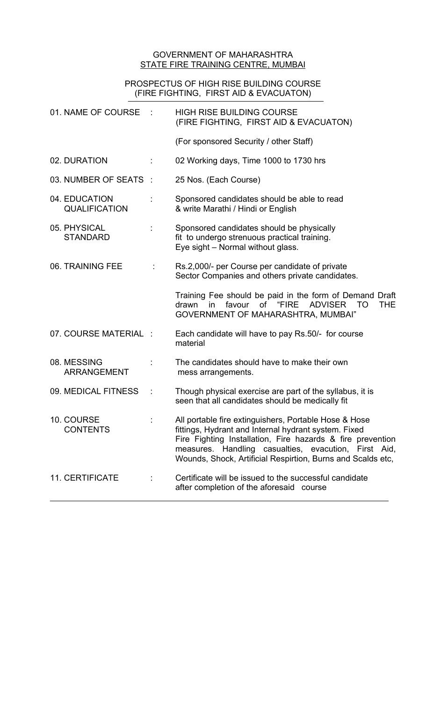## GOVERNMENT OF MAHARASHTRA STATE FIRE TRAINING CENTRE, MUMBAI

## PROSPECTUS OF HIGH RISE BUILDING COURSE (FIRE FIGHTING, FIRST AID & EVACUATON)

| 01. NAME OF COURSE                    |                      | <b>HIGH RISE BUILDING COURSE</b><br>(FIRE FIGHTING, FIRST AID & EVACUATON)                                                                                                                                                                                                                         |
|---------------------------------------|----------------------|----------------------------------------------------------------------------------------------------------------------------------------------------------------------------------------------------------------------------------------------------------------------------------------------------|
|                                       |                      | (For sponsored Security / other Staff)                                                                                                                                                                                                                                                             |
| 02. DURATION                          |                      | 02 Working days, Time 1000 to 1730 hrs                                                                                                                                                                                                                                                             |
| 03. NUMBER OF SEATS :                 |                      | 25 Nos. (Each Course)                                                                                                                                                                                                                                                                              |
| 04. EDUCATION<br><b>QUALIFICATION</b> |                      | Sponsored candidates should be able to read<br>& write Marathi / Hindi or English                                                                                                                                                                                                                  |
| 05. PHYSICAL<br><b>STANDARD</b>       |                      | Sponsored candidates should be physically<br>fit to undergo strenuous practical training.<br>Eye sight - Normal without glass.                                                                                                                                                                     |
| 06. TRAINING FEE                      | ÷                    | Rs.2,000/- per Course per candidate of private<br>Sector Companies and others private candidates.                                                                                                                                                                                                  |
|                                       |                      | Training Fee should be paid in the form of Demand Draft<br>favour of "FIRE<br>drawn<br>THE.<br>in<br><b>ADVISER</b><br>TO<br>GOVERNMENT OF MAHARASHTRA, MUMBAI"                                                                                                                                    |
| 07. COURSE MATERIAL :                 |                      | Each candidate will have to pay Rs.50/- for course<br>material                                                                                                                                                                                                                                     |
| 08. MESSING<br><b>ARRANGEMENT</b>     |                      | The candidates should have to make their own<br>mess arrangements.                                                                                                                                                                                                                                 |
| 09. MEDICAL FITNESS                   | $\ddot{\phantom{a}}$ | Though physical exercise are part of the syllabus, it is<br>seen that all candidates should be medically fit                                                                                                                                                                                       |
| 10. COURSE<br><b>CONTENTS</b>         |                      | All portable fire extinguishers, Portable Hose & Hose<br>fittings, Hydrant and Internal hydrant system. Fixed<br>Fire Fighting Installation, Fire hazards & fire prevention<br>measures. Handling casualties, evacution, First Aid,<br>Wounds, Shock, Artificial Respirtion, Burns and Scalds etc, |
| <b>11. CERTIFICATE</b>                |                      | Certificate will be issued to the successful candidate<br>after completion of the aforesaid course                                                                                                                                                                                                 |